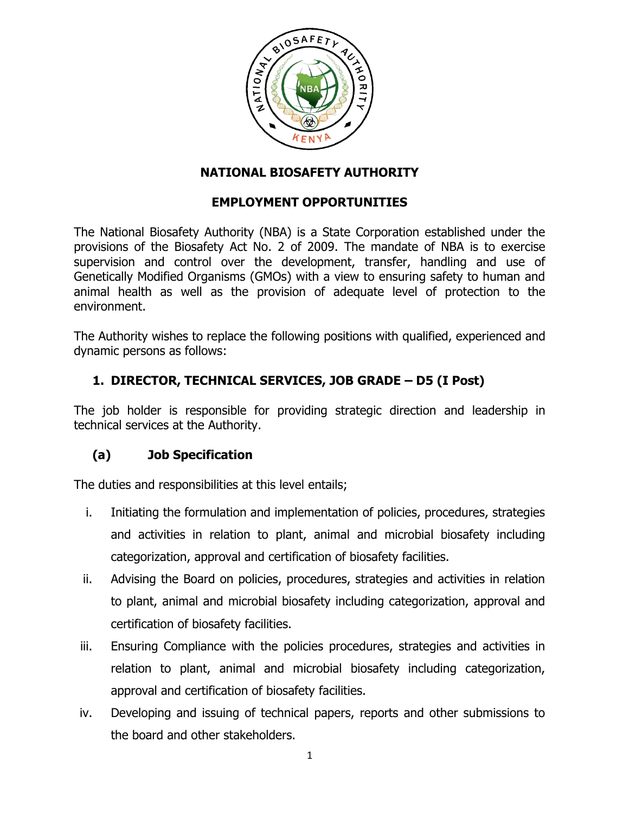

#### **NATIONAL BIOSAFETY AUTHORITY**

### **EMPLOYMENT OPPORTUNITIES**

The National Biosafety Authority (NBA) is a State Corporation established under the provisions of the Biosafety Act No. 2 of 2009. The mandate of NBA is to exercise supervision and control over the development, transfer, handling and use of Genetically Modified Organisms (GMOs) with a view to ensuring safety to human and animal health as well as the provision of adequate level of protection to the environment.

The Authority wishes to replace the following positions with qualified, experienced and dynamic persons as follows:

## **1. DIRECTOR, TECHNICAL SERVICES, JOB GRADE – D5 (I Post)**

The job holder is responsible for providing strategic direction and leadership in technical services at the Authority.

## **(a) Job Specification**

The duties and responsibilities at this level entails;

- i. Initiating the formulation and implementation of policies, procedures, strategies and activities in relation to plant, animal and microbial biosafety including categorization, approval and certification of biosafety facilities.
- ii. Advising the Board on policies, procedures, strategies and activities in relation to plant, animal and microbial biosafety including categorization, approval and certification of biosafety facilities.
- iii. Ensuring Compliance with the policies procedures, strategies and activities in relation to plant, animal and microbial biosafety including categorization, approval and certification of biosafety facilities.
- iv. Developing and issuing of technical papers, reports and other submissions to the board and other stakeholders.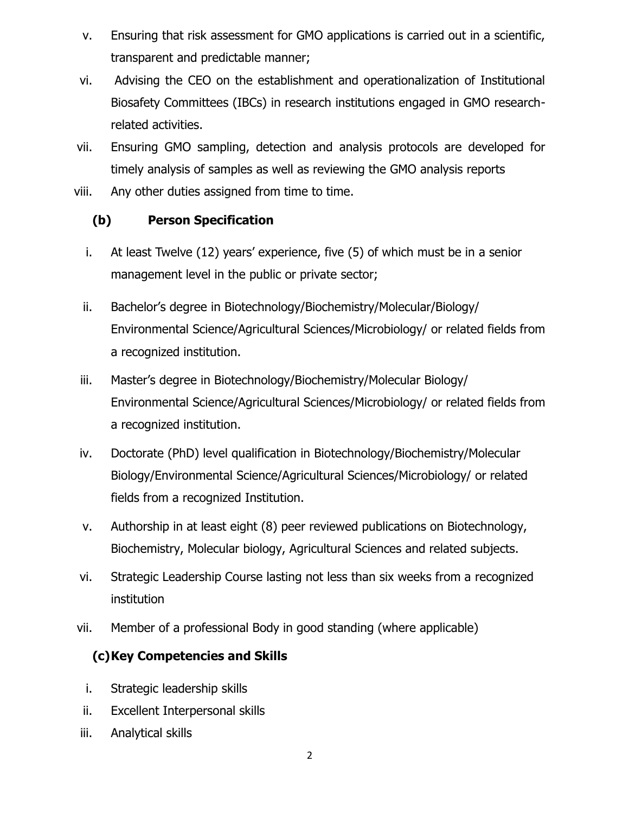- v. Ensuring that risk assessment for GMO applications is carried out in a scientific, transparent and predictable manner;
- vi. Advising the CEO on the establishment and operationalization of Institutional Biosafety Committees (IBCs) in research institutions engaged in GMO researchrelated activities.
- vii. Ensuring GMO sampling, detection and analysis protocols are developed for timely analysis of samples as well as reviewing the GMO analysis reports
- viii. Any other duties assigned from time to time.

# **(b) Person Specification**

- i. At least Twelve (12) years' experience, five (5) of which must be in a senior management level in the public or private sector;
- ii. Bachelor's degree in Biotechnology/Biochemistry/Molecular/Biology/ Environmental Science/Agricultural Sciences/Microbiology/ or related fields from a recognized institution.
- iii. Master's degree in Biotechnology/Biochemistry/Molecular Biology/ Environmental Science/Agricultural Sciences/Microbiology/ or related fields from a recognized institution.
- iv. Doctorate (PhD) level qualification in Biotechnology/Biochemistry/Molecular Biology/Environmental Science/Agricultural Sciences/Microbiology/ or related fields from a recognized Institution.
- v. Authorship in at least eight (8) peer reviewed publications on Biotechnology, Biochemistry, Molecular biology, Agricultural Sciences and related subjects.
- vi. Strategic Leadership Course lasting not less than six weeks from a recognized institution
- vii. Member of a professional Body in good standing (where applicable)

# **(c)Key Competencies and Skills**

- i. Strategic leadership skills
- ii. Excellent Interpersonal skills
- iii. Analytical skills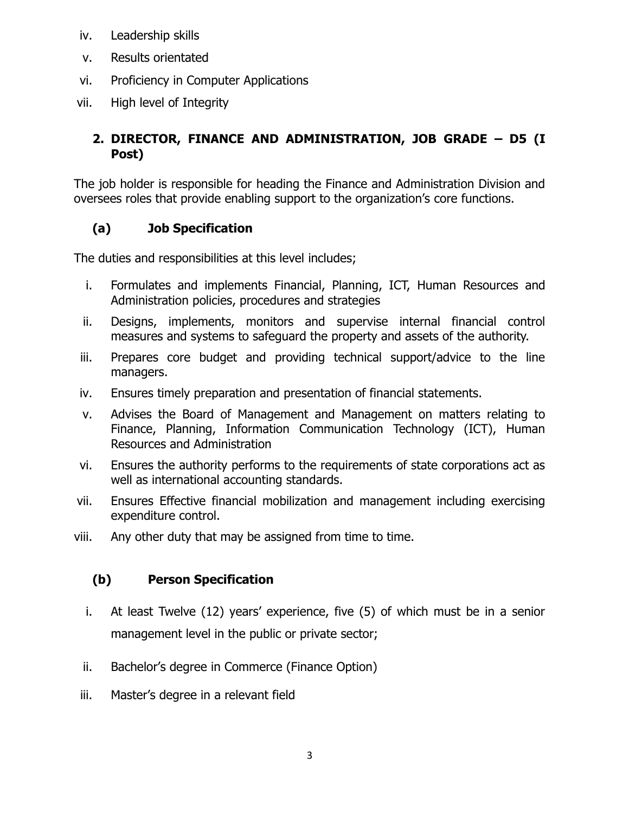- iv. Leadership skills
- v. Results orientated
- vi. Proficiency in Computer Applications
- vii. High level of Integrity

# **2. DIRECTOR, FINANCE AND ADMINISTRATION, JOB GRADE – D5 (I Post)**

The job holder is responsible for heading the Finance and Administration Division and oversees roles that provide enabling support to the organization's core functions.

# **(a) Job Specification**

The duties and responsibilities at this level includes;

- i. Formulates and implements Financial, Planning, ICT, Human Resources and Administration policies, procedures and strategies
- ii. Designs, implements, monitors and supervise internal financial control measures and systems to safeguard the property and assets of the authority.
- iii. Prepares core budget and providing technical support/advice to the line managers.
- iv. Ensures timely preparation and presentation of financial statements.
- v. Advises the Board of Management and Management on matters relating to Finance, Planning, Information Communication Technology (ICT), Human Resources and Administration
- vi. Ensures the authority performs to the requirements of state corporations act as well as international accounting standards.
- vii. Ensures Effective financial mobilization and management including exercising expenditure control.
- viii. Any other duty that may be assigned from time to time.

# **(b) Person Specification**

- i. At least Twelve (12) years' experience, five (5) of which must be in a senior management level in the public or private sector;
- ii. Bachelor's degree in Commerce (Finance Option)
- iii. Master's degree in a relevant field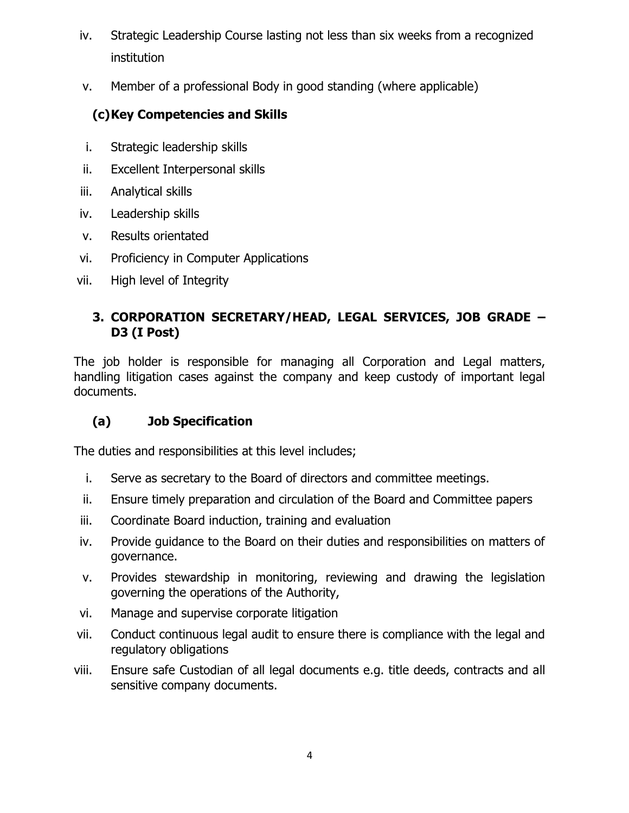- iv. Strategic Leadership Course lasting not less than six weeks from a recognized institution
- v. Member of a professional Body in good standing (where applicable)

# **(c)Key Competencies and Skills**

- i. Strategic leadership skills
- ii. Excellent Interpersonal skills
- iii. Analytical skills
- iv. Leadership skills
- v. Results orientated
- vi. Proficiency in Computer Applications
- vii. High level of Integrity

## **3. CORPORATION SECRETARY/HEAD, LEGAL SERVICES, JOB GRADE – D3 (I Post)**

The job holder is responsible for managing all Corporation and Legal matters, handling litigation cases against the company and keep custody of important legal documents.

# **(a) Job Specification**

The duties and responsibilities at this level includes;

- i. Serve as secretary to the Board of directors and committee meetings.
- ii. Ensure timely preparation and circulation of the Board and Committee papers
- iii. Coordinate Board induction, training and evaluation
- iv. Provide guidance to the Board on their duties and responsibilities on matters of governance.
- v. Provides stewardship in monitoring, reviewing and drawing the legislation governing the operations of the Authority,
- vi. Manage and supervise corporate litigation
- vii. Conduct continuous legal audit to ensure there is compliance with the legal and regulatory obligations
- viii. Ensure safe Custodian of all legal documents e.g. title deeds, contracts and all sensitive company documents.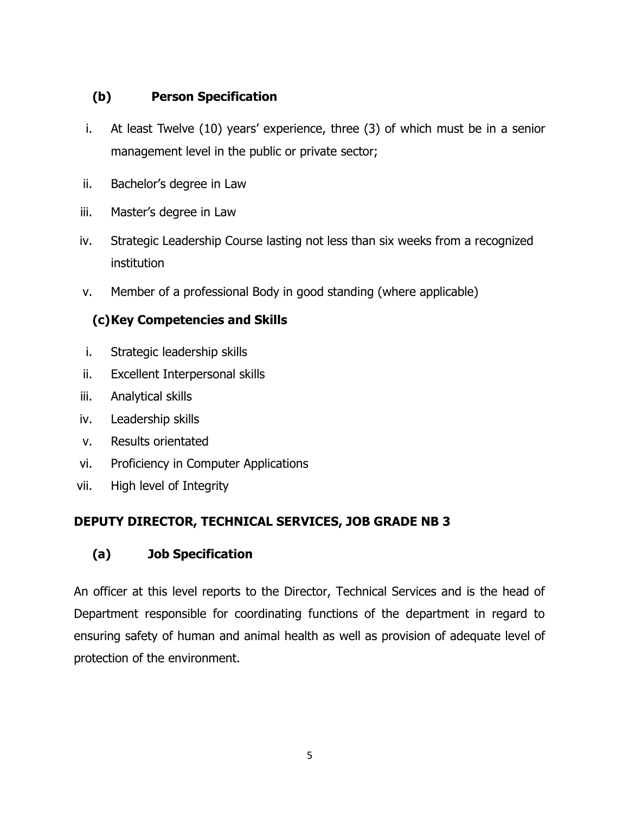## **(b) Person Specification**

- i. At least Twelve (10) years' experience, three (3) of which must be in a senior management level in the public or private sector;
- ii. Bachelor's degree in Law
- iii. Master's degree in Law
- iv. Strategic Leadership Course lasting not less than six weeks from a recognized institution
- v. Member of a professional Body in good standing (where applicable)

# **(c)Key Competencies and Skills**

- i. Strategic leadership skills
- ii. Excellent Interpersonal skills
- iii. Analytical skills
- iv. Leadership skills
- v. Results orientated
- vi. Proficiency in Computer Applications
- vii. High level of Integrity

## **DEPUTY DIRECTOR, TECHNICAL SERVICES, JOB GRADE NB 3**

## **(a) Job Specification**

An officer at this level reports to the Director, Technical Services and is the head of Department responsible for coordinating functions of the department in regard to ensuring safety of human and animal health as well as provision of adequate level of protection of the environment.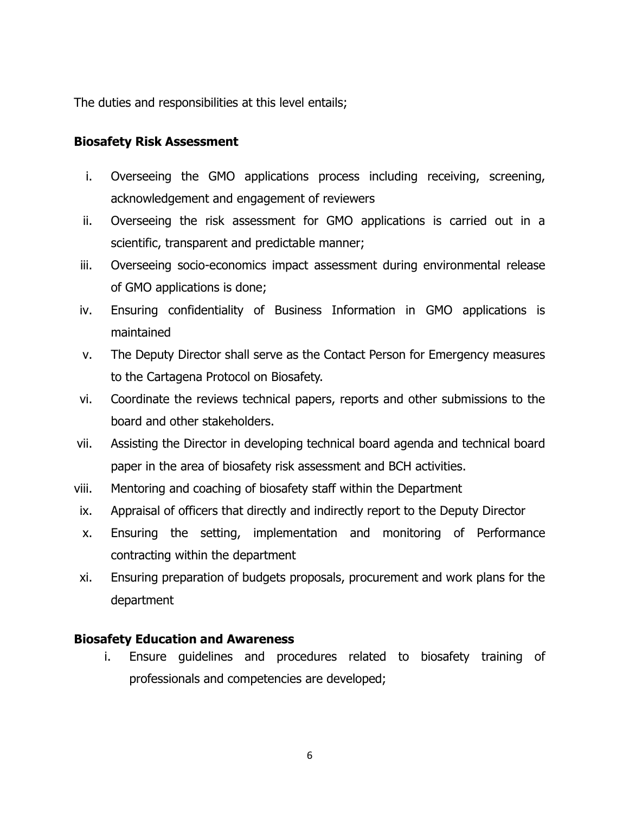The duties and responsibilities at this level entails;

#### **Biosafety Risk Assessment**

- i. Overseeing the GMO applications process including receiving, screening, acknowledgement and engagement of reviewers
- ii. Overseeing the risk assessment for GMO applications is carried out in a scientific, transparent and predictable manner;
- iii. Overseeing socio-economics impact assessment during environmental release of GMO applications is done;
- iv. Ensuring confidentiality of Business Information in GMO applications is maintained
- v. The Deputy Director shall serve as the Contact Person for Emergency measures to the Cartagena Protocol on Biosafety.
- vi. Coordinate the reviews technical papers, reports and other submissions to the board and other stakeholders.
- vii. Assisting the Director in developing technical board agenda and technical board paper in the area of biosafety risk assessment and BCH activities.
- viii. Mentoring and coaching of biosafety staff within the Department
- ix. Appraisal of officers that directly and indirectly report to the Deputy Director
- x. Ensuring the setting, implementation and monitoring of Performance contracting within the department
- xi. Ensuring preparation of budgets proposals, procurement and work plans for the department

#### **Biosafety Education and Awareness**

i. Ensure guidelines and procedures related to biosafety training of professionals and competencies are developed;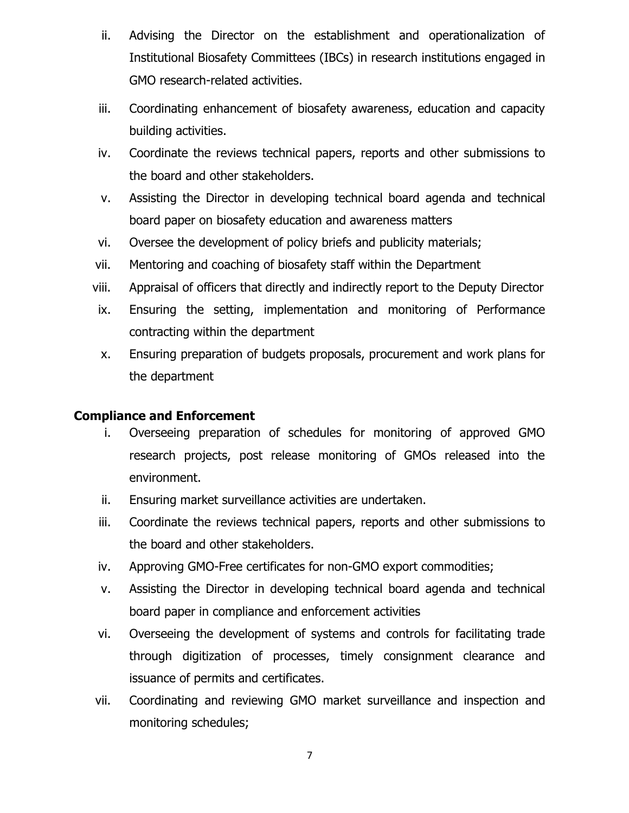- ii. Advising the Director on the establishment and operationalization of Institutional Biosafety Committees (IBCs) in research institutions engaged in GMO research-related activities.
- iii. Coordinating enhancement of biosafety awareness, education and capacity building activities.
- iv. Coordinate the reviews technical papers, reports and other submissions to the board and other stakeholders.
- v. Assisting the Director in developing technical board agenda and technical board paper on biosafety education and awareness matters
- vi. Oversee the development of policy briefs and publicity materials;
- vii. Mentoring and coaching of biosafety staff within the Department
- viii. Appraisal of officers that directly and indirectly report to the Deputy Director
- ix. Ensuring the setting, implementation and monitoring of Performance contracting within the department
- x. Ensuring preparation of budgets proposals, procurement and work plans for the department

#### **Compliance and Enforcement**

- i. Overseeing preparation of schedules for monitoring of approved GMO research projects, post release monitoring of GMOs released into the environment.
- ii. Ensuring market surveillance activities are undertaken.
- iii. Coordinate the reviews technical papers, reports and other submissions to the board and other stakeholders.
- iv. Approving GMO-Free certificates for non-GMO export commodities;
- v. Assisting the Director in developing technical board agenda and technical board paper in compliance and enforcement activities
- vi. Overseeing the development of systems and controls for facilitating trade through digitization of processes, timely consignment clearance and issuance of permits and certificates.
- vii. Coordinating and reviewing GMO market surveillance and inspection and monitoring schedules;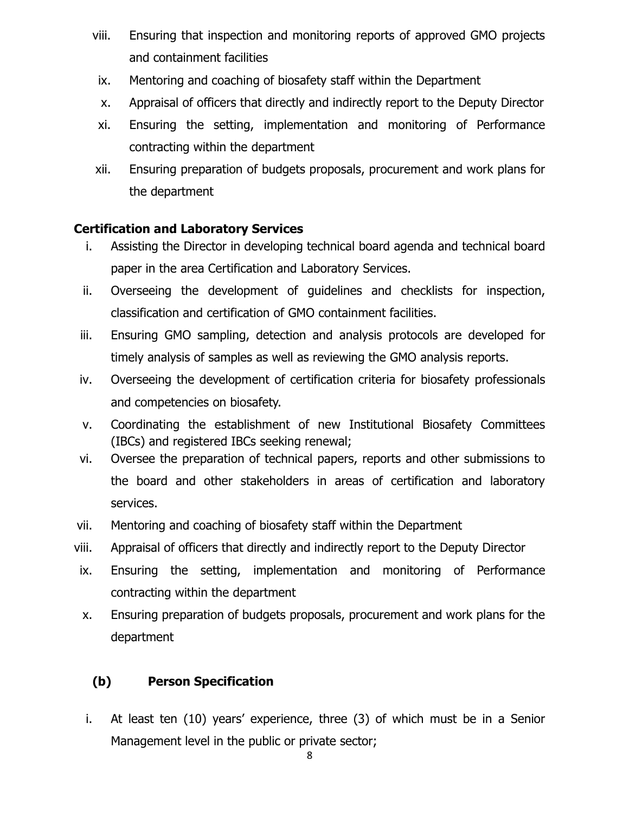- viii. Ensuring that inspection and monitoring reports of approved GMO projects and containment facilities
- ix. Mentoring and coaching of biosafety staff within the Department
- x. Appraisal of officers that directly and indirectly report to the Deputy Director
- xi. Ensuring the setting, implementation and monitoring of Performance contracting within the department
- xii. Ensuring preparation of budgets proposals, procurement and work plans for the department

## **Certification and Laboratory Services**

- i. Assisting the Director in developing technical board agenda and technical board paper in the area Certification and Laboratory Services.
- ii. Overseeing the development of guidelines and checklists for inspection, classification and certification of GMO containment facilities.
- iii. Ensuring GMO sampling, detection and analysis protocols are developed for timely analysis of samples as well as reviewing the GMO analysis reports.
- iv. Overseeing the development of certification criteria for biosafety professionals and competencies on biosafety.
- v. Coordinating the establishment of new Institutional Biosafety Committees (IBCs) and registered IBCs seeking renewal;
- vi. Oversee the preparation of technical papers, reports and other submissions to the board and other stakeholders in areas of certification and laboratory services.
- vii. Mentoring and coaching of biosafety staff within the Department
- viii. Appraisal of officers that directly and indirectly report to the Deputy Director
- ix. Ensuring the setting, implementation and monitoring of Performance contracting within the department
- x. Ensuring preparation of budgets proposals, procurement and work plans for the department

# **(b) Person Specification**

i. At least ten (10) years' experience, three (3) of which must be in a Senior Management level in the public or private sector;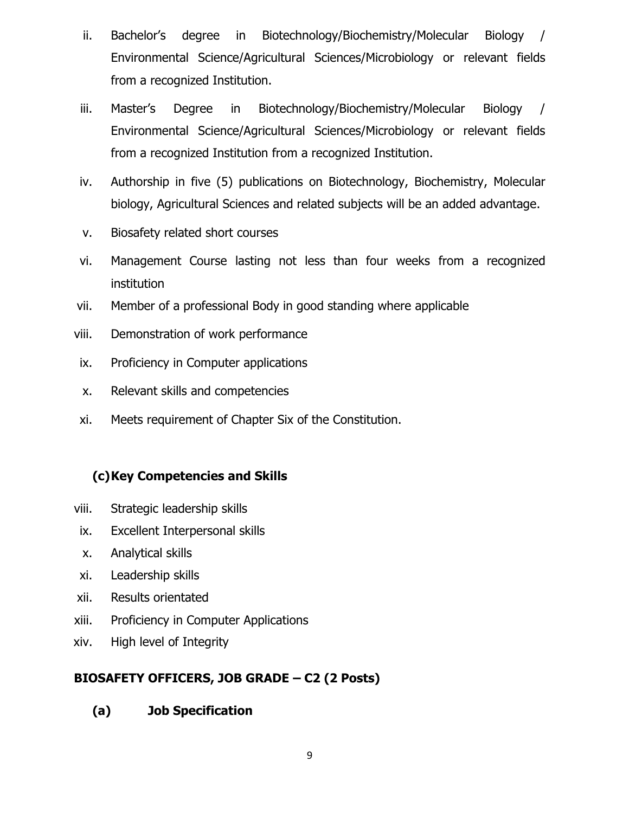- ii. Bachelor's degree in Biotechnology/Biochemistry/Molecular Biology / Environmental Science/Agricultural Sciences/Microbiology or relevant fields from a recognized Institution.
- iii. Master's Degree in Biotechnology/Biochemistry/Molecular Biology / Environmental Science/Agricultural Sciences/Microbiology or relevant fields from a recognized Institution from a recognized Institution.
- iv. Authorship in five (5) publications on Biotechnology, Biochemistry, Molecular biology, Agricultural Sciences and related subjects will be an added advantage.
- v. Biosafety related short courses
- vi. Management Course lasting not less than four weeks from a recognized institution
- vii. Member of a professional Body in good standing where applicable
- viii. Demonstration of work performance
- ix. Proficiency in Computer applications
- x. Relevant skills and competencies
- xi. Meets requirement of Chapter Six of the Constitution.

## **(c)Key Competencies and Skills**

- viii. Strategic leadership skills
- ix. Excellent Interpersonal skills
- x. Analytical skills
- xi. Leadership skills
- xii. Results orientated
- xiii. Proficiency in Computer Applications
- xiv. High level of Integrity

## **BIOSAFETY OFFICERS, JOB GRADE – C2 (2 Posts)**

**(a) Job Specification**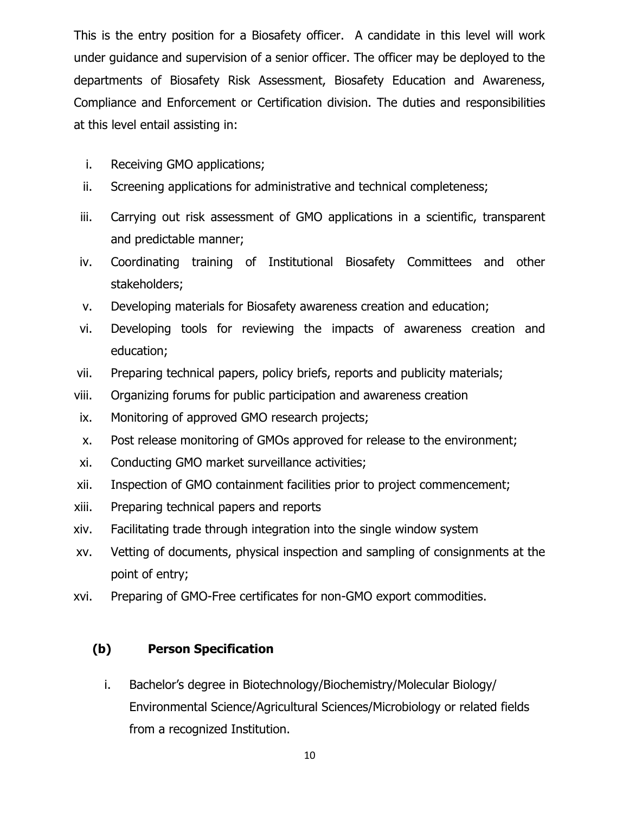This is the entry position for a Biosafety officer. A candidate in this level will work under guidance and supervision of a senior officer. The officer may be deployed to the departments of Biosafety Risk Assessment, Biosafety Education and Awareness, Compliance and Enforcement or Certification division. The duties and responsibilities at this level entail assisting in:

- i. Receiving GMO applications;
- ii. Screening applications for administrative and technical completeness;
- iii. Carrying out risk assessment of GMO applications in a scientific, transparent and predictable manner;
- iv. Coordinating training of Institutional Biosafety Committees and other stakeholders;
- v. Developing materials for Biosafety awareness creation and education;
- vi. Developing tools for reviewing the impacts of awareness creation and education;
- vii. Preparing technical papers, policy briefs, reports and publicity materials;
- viii. Organizing forums for public participation and awareness creation
- ix. Monitoring of approved GMO research projects;
- x. Post release monitoring of GMOs approved for release to the environment;
- xi. Conducting GMO market surveillance activities;
- xii. Inspection of GMO containment facilities prior to project commencement;
- xiii. Preparing technical papers and reports
- xiv. Facilitating trade through integration into the single window system
- xv. Vetting of documents, physical inspection and sampling of consignments at the point of entry;
- xvi. Preparing of GMO-Free certificates for non-GMO export commodities.

#### **(b) Person Specification**

i. Bachelor's degree in Biotechnology/Biochemistry/Molecular Biology/ Environmental Science/Agricultural Sciences/Microbiology or related fields from a recognized Institution.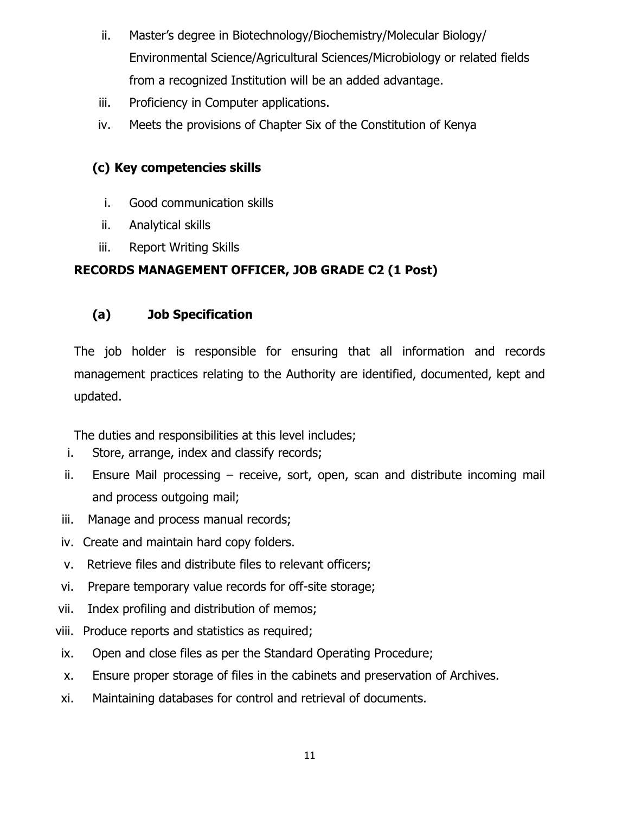- ii. Master's degree in Biotechnology/Biochemistry/Molecular Biology/ Environmental Science/Agricultural Sciences/Microbiology or related fields from a recognized Institution will be an added advantage.
- iii. Proficiency in Computer applications.
- iv. Meets the provisions of Chapter Six of the Constitution of Kenya

# **(c) Key competencies skills**

- i. Good communication skills
- ii. Analytical skills
- iii. Report Writing Skills

# **RECORDS MANAGEMENT OFFICER, JOB GRADE C2 (1 Post)**

# **(a) Job Specification**

The job holder is responsible for ensuring that all information and records management practices relating to the Authority are identified, documented, kept and updated.

The duties and responsibilities at this level includes;

- i. Store, arrange, index and classify records;
- ii. Ensure Mail processing receive, sort, open, scan and distribute incoming mail and process outgoing mail;
- iii. Manage and process manual records;
- iv. Create and maintain hard copy folders.
- v. Retrieve files and distribute files to relevant officers;
- vi. Prepare temporary value records for off-site storage;
- vii. Index profiling and distribution of memos;
- viii. Produce reports and statistics as required;
- ix. Open and close files as per the Standard Operating Procedure;
- x. Ensure proper storage of files in the cabinets and preservation of Archives.
- xi. Maintaining databases for control and retrieval of documents.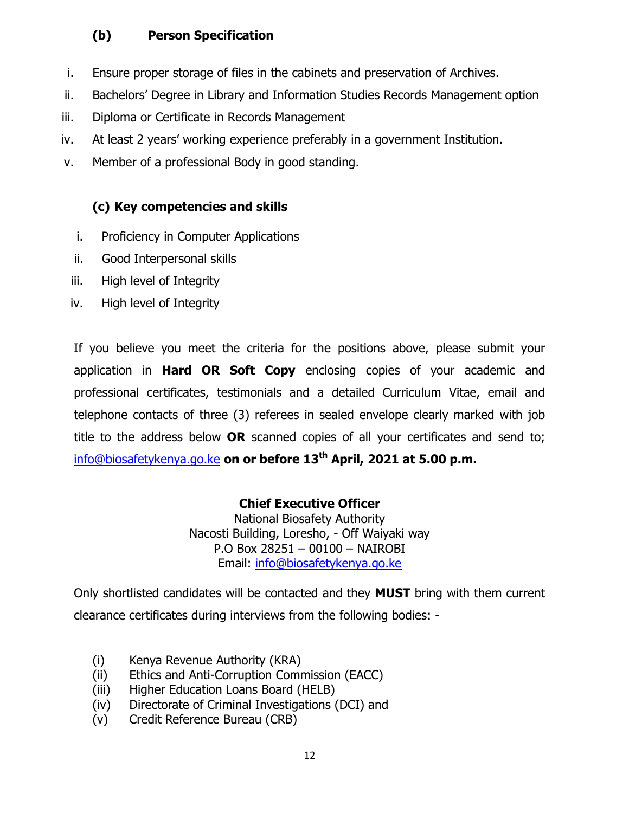# **(b) Person Specification**

- i. Ensure proper storage of files in the cabinets and preservation of Archives.
- ii. Bachelors' Degree in Library and Information Studies Records Management option
- iii. Diploma or Certificate in Records Management
- iv. At least 2 years' working experience preferably in a government Institution.
- v. Member of a professional Body in good standing.

# **(c) Key competencies and skills**

- i. Proficiency in Computer Applications
- ii. Good Interpersonal skills
- iii. High level of Integrity
- iv. High level of Integrity

If you believe you meet the criteria for the positions above, please submit your application in **Hard OR Soft Copy** enclosing copies of your academic and professional certificates, testimonials and a detailed Curriculum Vitae, email and telephone contacts of three (3) referees in sealed envelope clearly marked with job title to the address below **OR** scanned copies of all your certificates and send to; [info@biosafetykenya.go.ke](mailto:info@biosafetykenya.go.ke) **on or before 13th April, 2021 at 5.00 p.m.**

# **Chief Executive Officer**

National Biosafety Authority Nacosti Building, Loresho, - Off Waiyaki way P.O Box 28251 – 00100 – NAIROBI Email: [info@biosafetykenya.go.ke](mailto:info@biosafetykenya.go.ke)

Only shortlisted candidates will be contacted and they **MUST** bring with them current clearance certificates during interviews from the following bodies: -

- (i) Kenya Revenue Authority (KRA)
- (ii) Ethics and Anti-Corruption Commission (EACC)
- (iii) Higher Education Loans Board (HELB)
- (iv) Directorate of Criminal Investigations (DCI) and
- (v) Credit Reference Bureau (CRB)